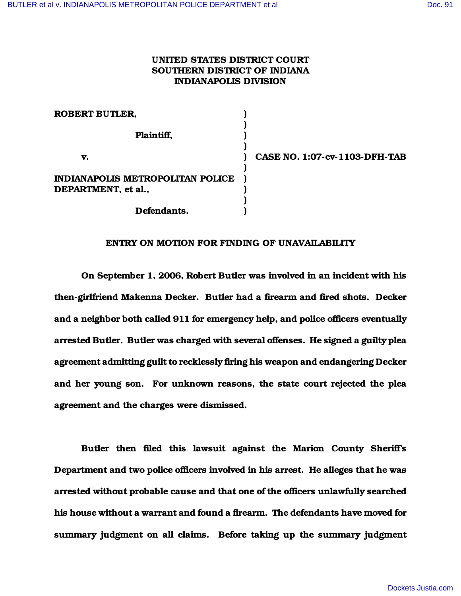## UNITED STATES DISTRICT COURT SOUTHERN DISTRICT OF INDIANA INDIANAPOLIS DIVISION

| <b>ROBERT BUTLER,</b>            |                               |
|----------------------------------|-------------------------------|
| Plaintiff,                       |                               |
| v.                               | CASE NO. 1:07-cv-1103-DFH-TAB |
| INDIANAPOLIS METROPOLITAN POLICE |                               |
| DEPARTMENT, et al.,              |                               |
| Defendants.                      |                               |

## ENTRY ON MOTION FOR FINDING OF UNAVAILABILITY

On September 1, 2006, Robert Butler was involved in an incident with his then-girlfriend Makenna Decker. Butler had a firearm and fired shots. Decker and a neighbor both called 911 for emergency help, and police officers eventually arrested Butler. Butler was charged with several offenses. He signed a guilty plea agreement admitting guilt to recklessly firing his weapon and endangering Decker and her young son. For unknown reasons, the state court rejected the plea agreement and the charges were dismissed.

Butler then filed this lawsuit against the Marion County Sheriff's Department and two police officers involved in his arrest. He alleges that he was arrested without probable cause and that one of the officers unlawfully searched his house without a warrant and found a firearm. The defendants have moved for summary judgment on all claims. Before taking up the summary judgment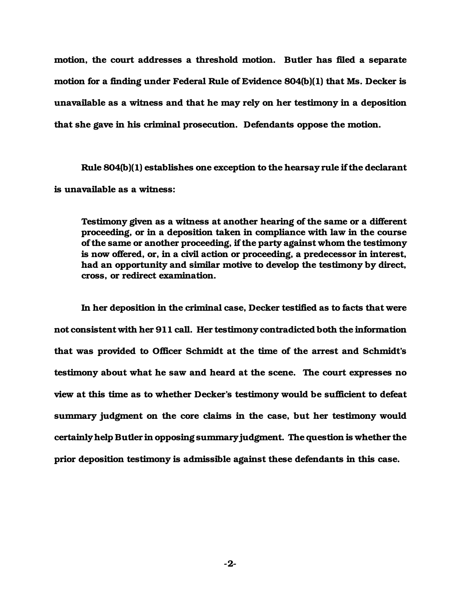motion, the court addresses a threshold motion. Butler has filed a separate motion for a finding under Federal Rule of Evidence 804(b)(1) that Ms. Decker is unavailable as a witness and that he may rely on her testimony in a deposition that she gave in his criminal prosecution. Defendants oppose the motion.

Rule 804(b)(1) establishes one exception to the hearsay rule if the declarant is unavailable as a witness:

Testimony given as a witness at another hearing of the same or a different proceeding, or in a deposition taken in compliance with law in the course of the same or another proceeding, if the party against whom the testimony is now offered, or, in a civil action or proceeding, a predecessor in interest, had an opportunity and similar motive to develop the testimony by direct, cross, or redirect examination.

In her deposition in the criminal case, Decker testified as to facts that were not consistent with her 911 call. Her testimony contradicted both the information that was provided to Officer Schmidt at the time of the arrest and Schmidt's testimony about what he saw and heard at the scene. The court expresses no view at this time as to whether Decker's testimony would be sufficient to defeat summary judgment on the core claims in the case, but her testimony would certainly help Butler in opposing summary judgment. The question is whether the prior deposition testimony is admissible against these defendants in this case.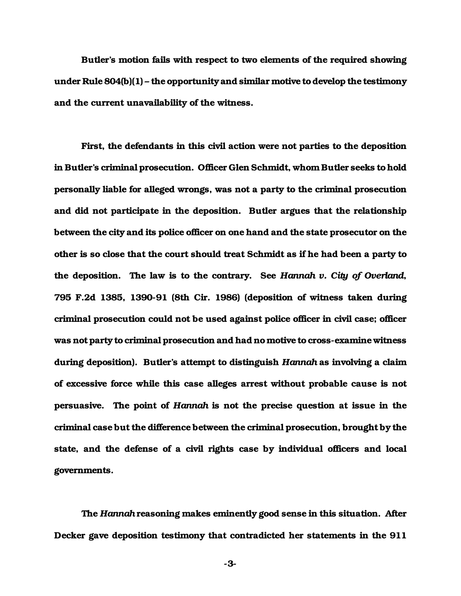Butler's motion fails with respect to two elements of the required showing under Rule 804(b)(1) – the opportunity and similar motive to develop the testimony and the current unavailability of the witness.

First, the defendants in this civil action were not parties to the deposition in Butler's criminal prosecution. Officer Glen Schmidt, whom Butler seeks to hold personally liable for alleged wrongs, was not a party to the criminal prosecution and did not participate in the deposition. Butler argues that the relationship between the city and its police officer on one hand and the state prosecutor on the other is so close that the court should treat Schmidt as if he had been a party to the deposition. The law is to the contrary. See *Hannah v. City of Overland*, 795 F.2d 1385, 1390-91 (8th Cir. 1986) (deposition of witness taken during criminal prosecution could not be used against police officer in civil case; officer was not party to criminal prosecution and had no motive to cross-examine witness during deposition). Butler's attempt to distinguish *Hannah* as involving a claim of excessive force while this case alleges arrest without probable cause is not persuasive. The point of *Hannah* is not the precise question at issue in the criminal case but the difference between the criminal prosecution, brought by the state, and the defense of a civil rights case by individual officers and local governments.

The *Hannah* reasoning makes eminently good sense in this situation. After Decker gave deposition testimony that contradicted her statements in the 911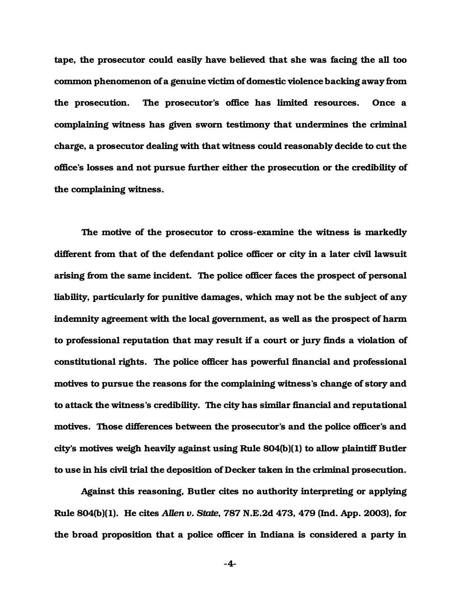tape, the prosecutor could easily have believed that she was facing the all too common phenomenon of a genuine victim of domestic violence backing away from the prosecution. The prosecutor's office has limited resources. Once a complaining witness has given sworn testimony that undermines the criminal charge, a prosecutor dealing with that witness could reasonably decide to cut the office's losses and not pursue further either the prosecution or the credibility of the complaining witness.

The motive of the prosecutor to cross-examine the witness is markedly different from that of the defendant police officer or city in a later civil lawsuit arising from the same incident. The police officer faces the prospect of personal liability, particularly for punitive damages, which may not be the subject of any indemnity agreement with the local government, as well as the prospect of harm to professional reputation that may result if a court or jury finds a violation of constitutional rights. The police officer has powerful financial and professional motives to pursue the reasons for the complaining witness's change of story and to attack the witness's credibility. The city has similar financial and reputational motives. Those differences between the prosecutor's and the police officer's and city's motives weigh heavily against using Rule 804(b)(1) to allow plaintiff Butler to use in his civil trial the deposition of Decker taken in the criminal prosecution.

Against this reasoning, Butler cites no authority interpreting or applying Rule 804(b)(1). He cites *Allen v. State*, 787 N.E.2d 473, 479 (Ind. App. 2003), for the broad proposition that a police officer in Indiana is considered a party in

-4-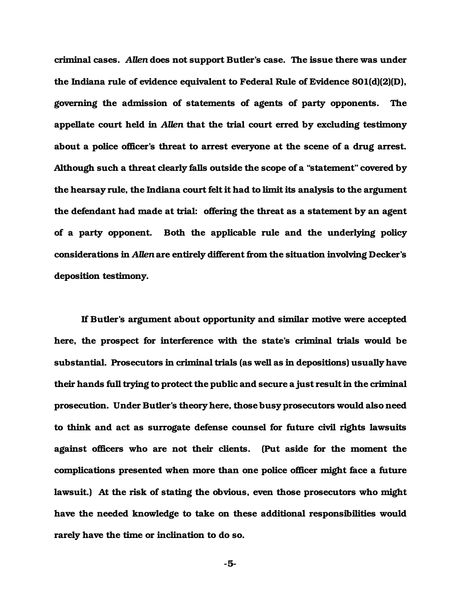criminal cases. *Allen* does not support Butler's case. The issue there was under the Indiana rule of evidence equivalent to Federal Rule of Evidence 801(d)(2)(D), governing the admission of statements of agents of party opponents. The appellate court held in *Allen* that the trial court erred by excluding testimony about a police officer's threat to arrest everyone at the scene of a drug arrest. Although such a threat clearly falls outside the scope of a "statement" covered by the hearsay rule, the Indiana court felt it had to limit its analysis to the argument the defendant had made at trial: offering the threat as a statement by an agent of a party opponent. Both the applicable rule and the underlying policy considerations in *Allen* are entirely different from the situation involving Decker's deposition testimony.

If Butler's argument about opportunity and similar motive were accepted here, the prospect for interference with the state's criminal trials would be substantial. Prosecutors in criminal trials (as well as in depositions) usually have their hands full trying to protect the public and secure a just result in the criminal prosecution. Under Butler's theory here, those busy prosecutors would also need to think and act as surrogate defense counsel for future civil rights lawsuits against officers who are not their clients. (Put aside for the moment the complications presented when more than one police officer might face a future lawsuit.) At the risk of stating the obvious, even those prosecutors who might have the needed knowledge to take on these additional responsibilities would rarely have the time or inclination to do so.

-5-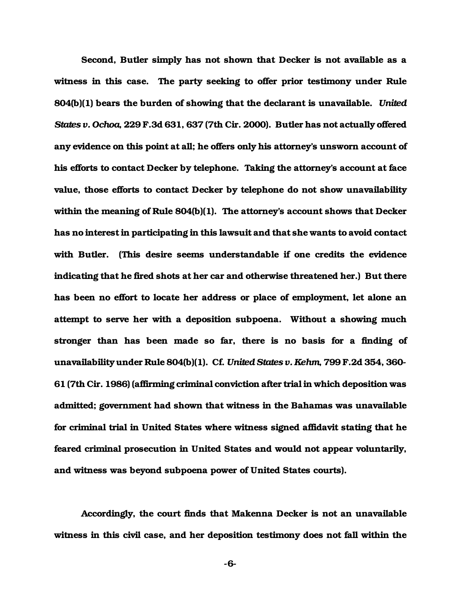Second, Butler simply has not shown that Decker is not available as a witness in this case. The party seeking to offer prior testimony under Rule 804(b)(1) bears the burden of showing that the declarant is unavailable. *United States v. Ochoa*, 229 F.3d 631, 637 (7th Cir. 2000). Butler has not actually offered any evidence on this point at all; he offers only his attorney's unsworn account of his efforts to contact Decker by telephone. Taking the attorney's account at face value, those efforts to contact Decker by telephone do not show unavailability within the meaning of Rule 804(b)(1). The attorney's account shows that Decker has no interest in participating in this lawsuit and that she wants to avoid contact with Butler. (This desire seems understandable if one credits the evidence indicating that he fired shots at her car and otherwise threatened her.) But there has been no effort to locate her address or place of employment, let alone an attempt to serve her with a deposition subpoena. Without a showing much stronger than has been made so far, there is no basis for a finding of unavailability under Rule 804(b)(1). Cf. *United States v. Kehm*, 799 F.2d 354, 360- 61 (7th Cir. 1986) (affirming criminal conviction after trial in which deposition was admitted; government had shown that witness in the Bahamas was unavailable for criminal trial in United States where witness signed affidavit stating that he feared criminal prosecution in United States and would not appear voluntarily, and witness was beyond subpoena power of United States courts).

Accordingly, the court finds that Makenna Decker is not an unavailable witness in this civil case, and her deposition testimony does not fall within the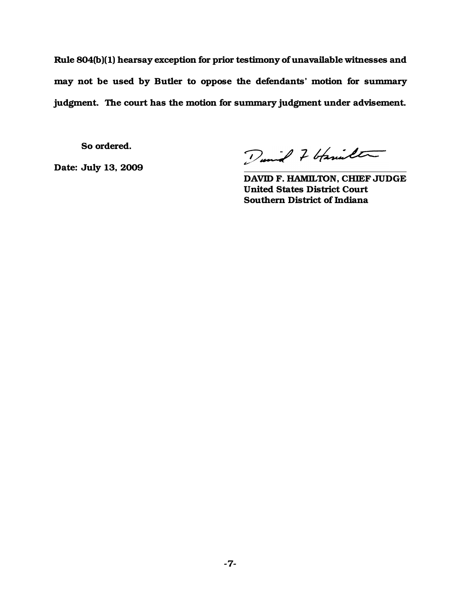Rule 804(b)(1) hearsay exception for prior testimony of unavailable witnesses and may not be used by Butler to oppose the defendants' motion for summary judgment. The court has the motion for summary judgment under advisement.

So ordered.

Date: July 13, 2009

Dunial 7 bfamilter

DAVID F. HAMILTON, CHIEF JUDGE United States District Court Southern District of Indiana